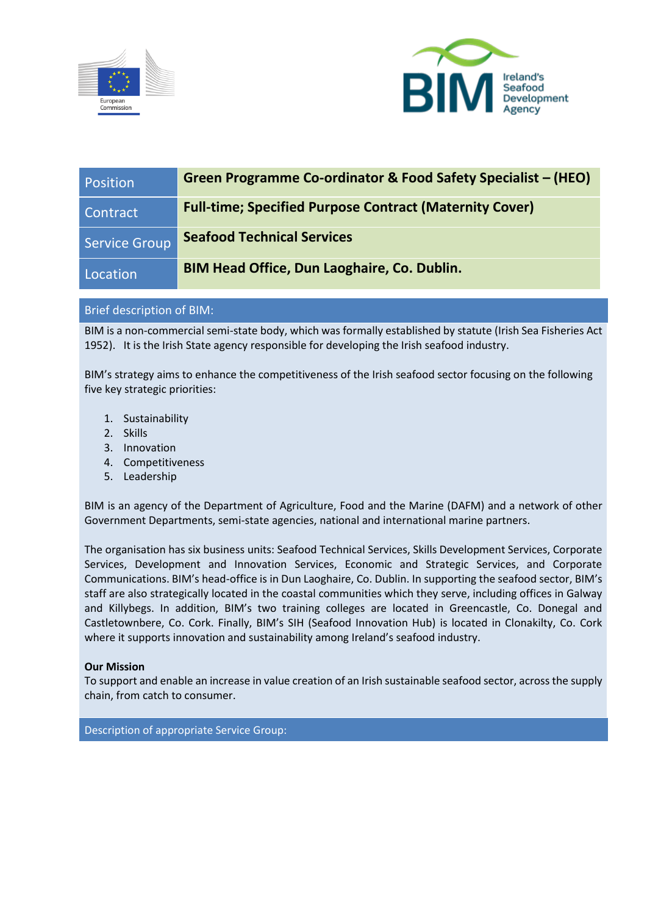



| Position             | Green Programme Co-ordinator & Food Safety Specialist – (HEO)  |
|----------------------|----------------------------------------------------------------|
| Contract             | <b>Full-time; Specified Purpose Contract (Maternity Cover)</b> |
| <b>Service Group</b> | <b>Seafood Technical Services</b>                              |
| Location             | <b>BIM Head Office, Dun Laoghaire, Co. Dublin.</b>             |

# Brief description of BIM:

BIM is a non-commercial semi-state body, which was formally established by statute (Irish Sea Fisheries Act 1952). It is the Irish State agency responsible for developing the Irish seafood industry.

BIM's strategy aims to enhance the competitiveness of the Irish seafood sector focusing on the following five key strategic priorities:

- 1. Sustainability
- 2. Skills
- 3. Innovation
- 4. Competitiveness
- 5. Leadership

BIM is an agency of the Department of Agriculture, Food and the Marine (DAFM) and a network of other Government Departments, semi-state agencies, national and international marine partners.

The organisation has six business units: Seafood Technical Services, Skills Development Services, Corporate Services, Development and Innovation Services, Economic and Strategic Services, and Corporate Communications. BIM's head-office is in Dun Laoghaire, Co. Dublin. In supporting the seafood sector, BIM's staff are also strategically located in the coastal communities which they serve, including offices in Galway and Killybegs. In addition, BIM's two training colleges are located in Greencastle, Co. Donegal and Castletownbere, Co. Cork. Finally, BIM's SIH (Seafood Innovation Hub) is located in Clonakilty, Co. Cork where it supports innovation and sustainability among Ireland's seafood industry.

# **Our Mission**

To support and enable an increase in value creation of an Irish sustainable seafood sector, across the supply chain, from catch to consumer.

Description of appropriate Service Group: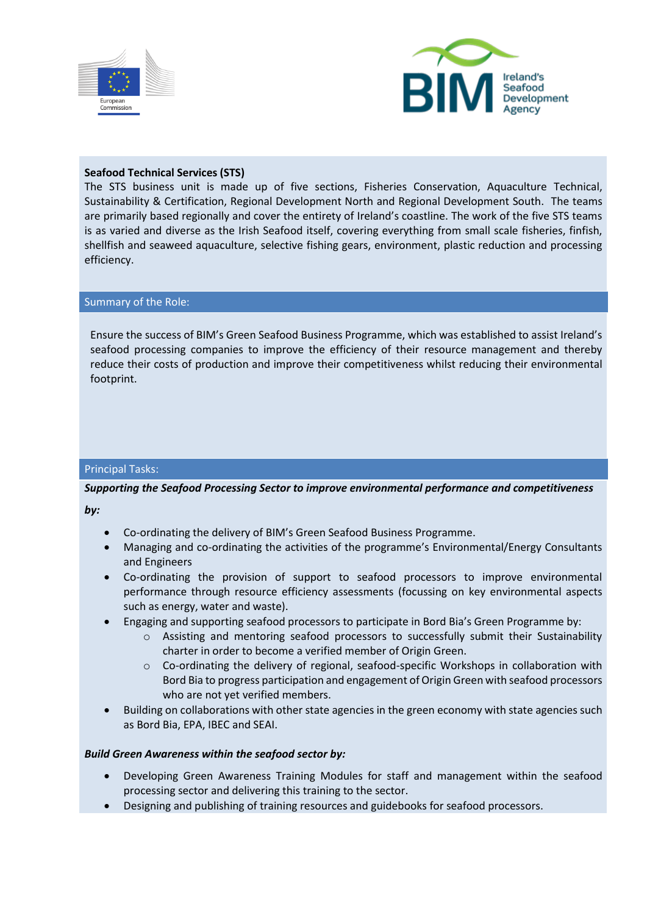



## **Seafood Technical Services (STS)**

The STS business unit is made up of five sections, Fisheries Conservation, Aquaculture Technical, Sustainability & Certification, Regional Development North and Regional Development South. The teams are primarily based regionally and cover the entirety of Ireland's coastline. The work of the five STS teams is as varied and diverse as the Irish Seafood itself, covering everything from small scale fisheries, finfish, shellfish and seaweed aquaculture, selective fishing gears, environment, plastic reduction and processing efficiency.

#### Summary of the Role:

Ensure the success of BIM's Green Seafood Business Programme, which was established to assist Ireland's seafood processing companies to improve the efficiency of their resource management and thereby reduce their costs of production and improve their competitiveness whilst reducing their environmental footprint.

## Principal Tasks:

# *Supporting the Seafood Processing Sector to improve environmental performance and competitiveness*

*by:*

- Co-ordinating the delivery of BIM's Green Seafood Business Programme.
- Managing and co-ordinating the activities of the programme's Environmental/Energy Consultants and Engineers
- Co-ordinating the provision of support to seafood processors to improve environmental performance through resource efficiency assessments (focussing on key environmental aspects such as energy, water and waste).
- Engaging and supporting seafood processors to participate in Bord Bia's Green Programme by:
	- $\circ$  Assisting and mentoring seafood processors to successfully submit their Sustainability charter in order to become a verified member of Origin Green.
	- o Co-ordinating the delivery of regional, seafood-specific Workshops in collaboration with Bord Bia to progress participation and engagement of Origin Green with seafood processors who are not yet verified members.
- Building on collaborations with other state agencies in the green economy with state agencies such as Bord Bia, EPA, IBEC and SEAI.

## *Build Green Awareness within the seafood sector by:*

- Developing Green Awareness Training Modules for staff and management within the seafood processing sector and delivering this training to the sector.
- Designing and publishing of training resources and guidebooks for seafood processors.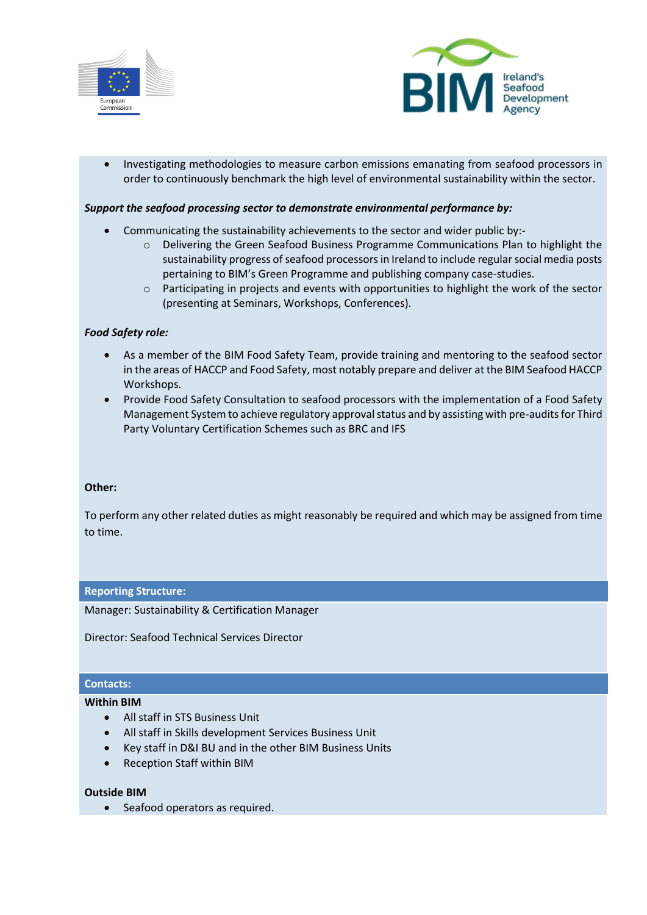



• Investigating methodologies to measure carbon emissions emanating from seafood processors in order to continuously benchmark the high level of environmental sustainability within the sector.

## *Support the seafood processing sector to demonstrate environmental performance by:*

- Communicating the sustainability achievements to the sector and wider public by:
	- o Delivering the Green Seafood Business Programme Communications Plan to highlight the sustainability progress of seafood processors in Ireland to include regular social media posts pertaining to BIM's Green Programme and publishing company case-studies.
	- $\circ$  Participating in projects and events with opportunities to highlight the work of the sector (presenting at Seminars, Workshops, Conferences).

## *Food Safety role:*

- As a member of the BIM Food Safety Team, provide training and mentoring to the seafood sector in the areas of HACCP and Food Safety, most notably prepare and deliver at the BIM Seafood HACCP Workshops.
- Provide Food Safety Consultation to seafood processors with the implementation of a Food Safety Management System to achieve regulatory approval status and by assisting with pre-audits for Third Party Voluntary Certification Schemes such as BRC and IFS

## **Other:**

To perform any other related duties as might reasonably be required and which may be assigned from time to time.

## **Reporting Structure:**

Manager: Sustainability & Certification Manager

Director: Seafood Technical Services Director

#### **Contacts:**

#### **Within BIM**

- All staff in STS Business Unit
- All staff in Skills development Services Business Unit
- Key staff in D&I BU and in the other BIM Business Units
- Reception Staff within BIM

## **Outside BIM**

Seafood operators as required.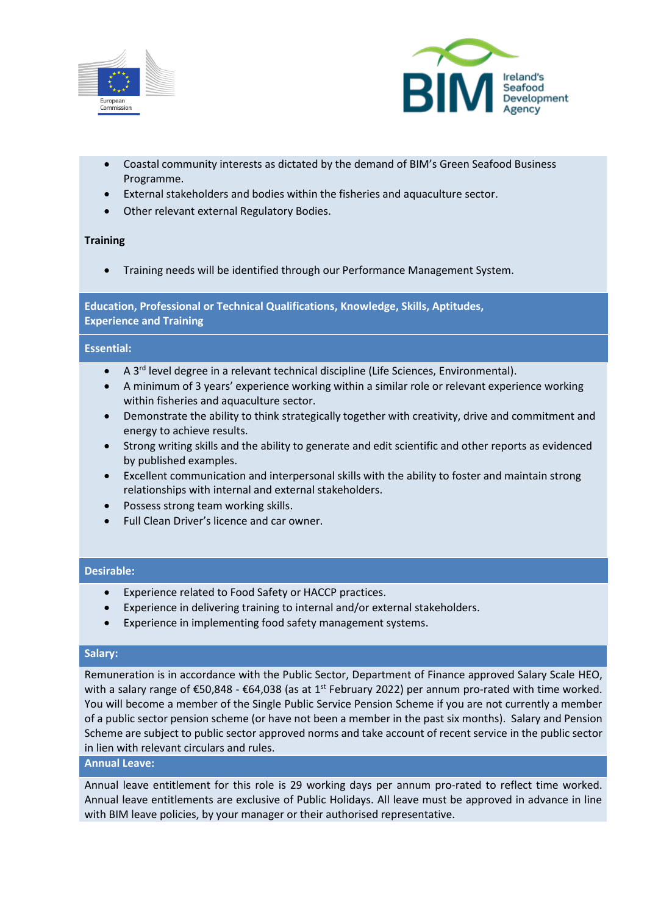



- Coastal community interests as dictated by the demand of BIM's Green Seafood Business Programme.
- External stakeholders and bodies within the fisheries and aquaculture sector.
- Other relevant external Regulatory Bodies.

## **Training**

• Training needs will be identified through our Performance Management System.

**Education, Professional or Technical Qualifications, Knowledge, Skills, Aptitudes, Experience and Training**

#### **Essential:**

- A 3<sup>rd</sup> level degree in a relevant technical discipline (Life Sciences, Environmental).
- A minimum of 3 years' experience working within a similar role or relevant experience working within fisheries and aquaculture sector.
- Demonstrate the ability to think strategically together with creativity, drive and commitment and energy to achieve results.
- Strong writing skills and the ability to generate and edit scientific and other reports as evidenced by published examples.
- Excellent communication and interpersonal skills with the ability to foster and maintain strong relationships with internal and external stakeholders.
- Possess strong team working skills.
- Full Clean Driver's licence and car owner.

## **Desirable:**

- Experience related to Food Safety or HACCP practices.
- Experience in delivering training to internal and/or external stakeholders.
- Experience in implementing food safety management systems.

#### **Salary:**

Remuneration is in accordance with the Public Sector, Department of Finance approved Salary Scale HEO, with a salary range of  $\epsilon$ 50,848 -  $\epsilon$ 64,038 (as at 1<sup>st</sup> February 2022) per annum pro-rated with time worked. You will become a member of the Single Public Service Pension Scheme if you are not currently a member of a public sector pension scheme (or have not been a member in the past six months). Salary and Pension Scheme are subject to public sector approved norms and take account of recent service in the public sector in lien with relevant circulars and rules.

#### **Annual Leave:**

Annual leave entitlement for this role is 29 working days per annum pro-rated to reflect time worked. Annual leave entitlements are exclusive of Public Holidays. All leave must be approved in advance in line with BIM leave policies, by your manager or their authorised representative.